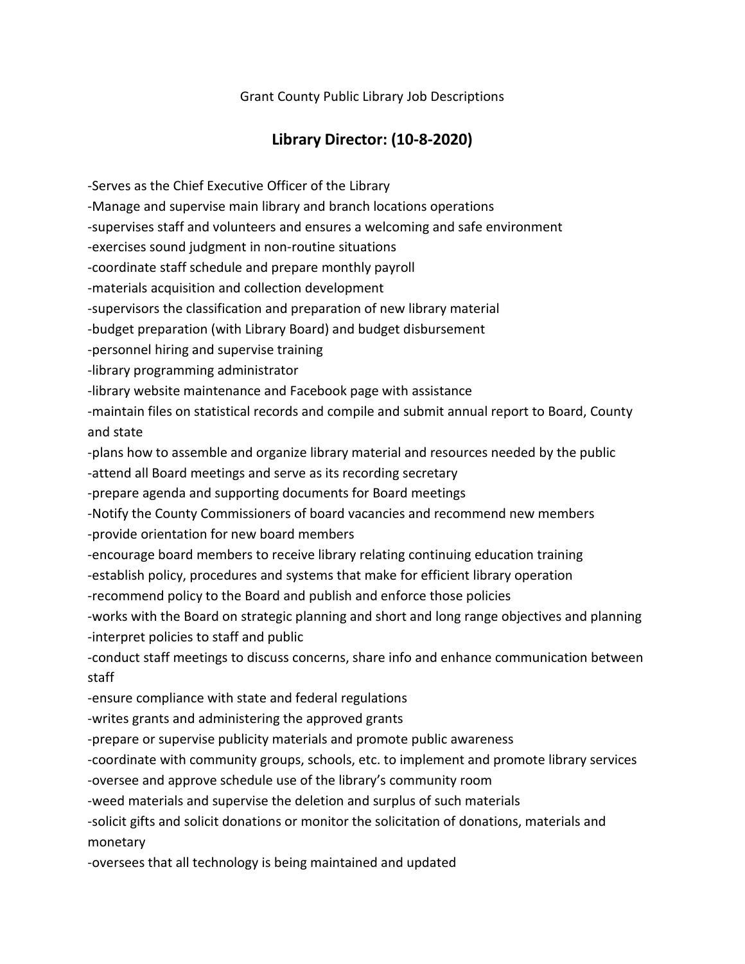Grant County Public Library Job Descriptions

## **Library Director: (10-8-2020)**

-Serves as the Chief Executive Officer of the Library -Manage and supervise main library and branch locations operations -supervises staff and volunteers and ensures a welcoming and safe environment -exercises sound judgment in non-routine situations -coordinate staff schedule and prepare monthly payroll -materials acquisition and collection development -supervisors the classification and preparation of new library material -budget preparation (with Library Board) and budget disbursement -personnel hiring and supervise training -library programming administrator -library website maintenance and Facebook page with assistance -maintain files on statistical records and compile and submit annual report to Board, County and state -plans how to assemble and organize library material and resources needed by the public -attend all Board meetings and serve as its recording secretary -prepare agenda and supporting documents for Board meetings -Notify the County Commissioners of board vacancies and recommend new members -provide orientation for new board members -encourage board members to receive library relating continuing education training -establish policy, procedures and systems that make for efficient library operation -recommend policy to the Board and publish and enforce those policies -works with the Board on strategic planning and short and long range objectives and planning -interpret policies to staff and public -conduct staff meetings to discuss concerns, share info and enhance communication between staff -ensure compliance with state and federal regulations -writes grants and administering the approved grants -prepare or supervise publicity materials and promote public awareness -coordinate with community groups, schools, etc. to implement and promote library services -oversee and approve schedule use of the library's community room -weed materials and supervise the deletion and surplus of such materials -solicit gifts and solicit donations or monitor the solicitation of donations, materials and monetary -oversees that all technology is being maintained and updated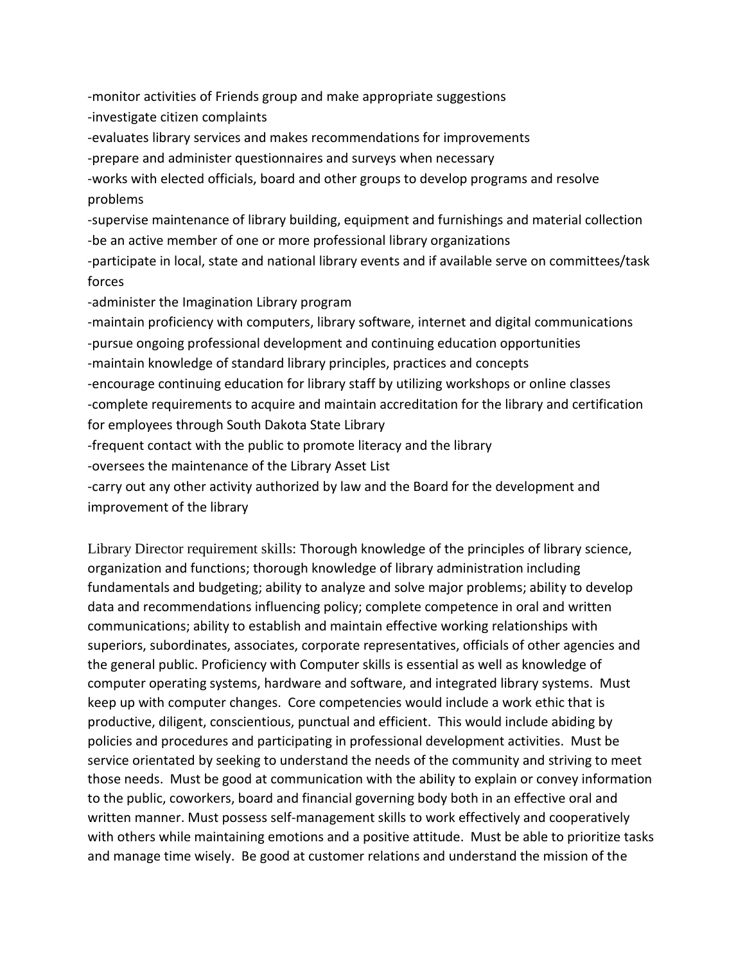-monitor activities of Friends group and make appropriate suggestions -investigate citizen complaints -evaluates library services and makes recommendations for improvements -prepare and administer questionnaires and surveys when necessary -works with elected officials, board and other groups to develop programs and resolve problems -supervise maintenance of library building, equipment and furnishings and material collection -be an active member of one or more professional library organizations -participate in local, state and national library events and if available serve on committees/task forces -administer the Imagination Library program -maintain proficiency with computers, library software, internet and digital communications -pursue ongoing professional development and continuing education opportunities -maintain knowledge of standard library principles, practices and concepts -encourage continuing education for library staff by utilizing workshops or online classes -complete requirements to acquire and maintain accreditation for the library and certification for employees through South Dakota State Library -frequent contact with the public to promote literacy and the library -oversees the maintenance of the Library Asset List -carry out any other activity authorized by law and the Board for the development and improvement of the library

Library Director requirement skills: Thorough knowledge of the principles of library science, organization and functions; thorough knowledge of library administration including fundamentals and budgeting; ability to analyze and solve major problems; ability to develop data and recommendations influencing policy; complete competence in oral and written communications; ability to establish and maintain effective working relationships with superiors, subordinates, associates, corporate representatives, officials of other agencies and the general public. Proficiency with Computer skills is essential as well as knowledge of computer operating systems, hardware and software, and integrated library systems. Must keep up with computer changes. Core competencies would include a work ethic that is productive, diligent, conscientious, punctual and efficient. This would include abiding by policies and procedures and participating in professional development activities. Must be service orientated by seeking to understand the needs of the community and striving to meet those needs. Must be good at communication with the ability to explain or convey information to the public, coworkers, board and financial governing body both in an effective oral and written manner. Must possess self-management skills to work effectively and cooperatively with others while maintaining emotions and a positive attitude. Must be able to prioritize tasks and manage time wisely. Be good at customer relations and understand the mission of the